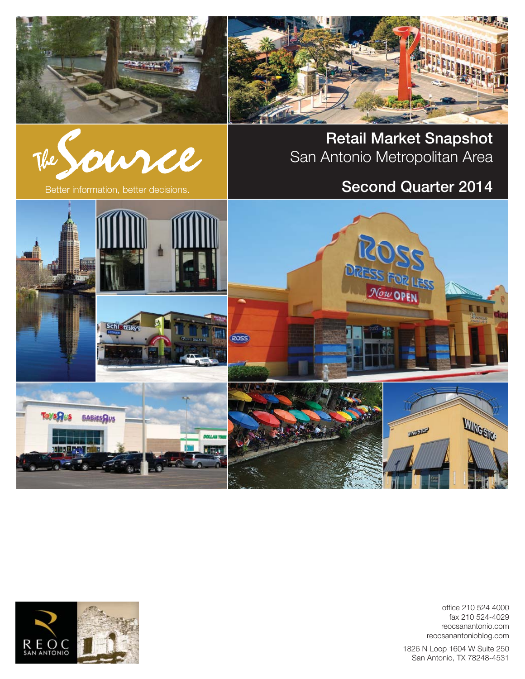





**Retail Market Snapshot** San Antonio Metropolitan Area

# Better information, better decisions. **Second Quarter 2014**



office 210 524 4000 fax 210 524-4029 reocsanantonio.com reocsanantonioblog.com

1826 N Loop 1604 W Suite 250 San Antonio, TX 78248-4531

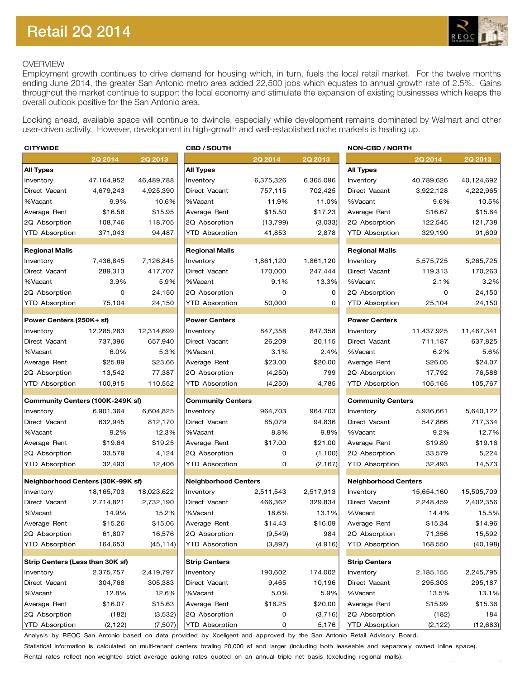

## OVERVIEW

Employment growth continues to drive demand for housing which, in turn, fuels the local retail market. For the twelve months ending June 2014, the greater San Antonio metro area added 22,500 jobs which equates to annual growth rate of 2.5%. Gains throughout the market continue to support the local economy and stimulate the expansion of existing businesses which keeps the overall outlook positive for the San Antonio area.

Looking ahead, available space will continue to dwindle, especially while development remains dominated by Walmart and other user-driven activity. However, development in high-growth and well-established niche markets is heating up.

| <b>CITYWIDE</b>                                                         |             |                | <b>CBD / SOUTH</b>          | <b>NON-CBD / NORTH</b> |                |                             |            |                |
|-------------------------------------------------------------------------|-------------|----------------|-----------------------------|------------------------|----------------|-----------------------------|------------|----------------|
|                                                                         | 2Q 2014     | <b>2Q 2013</b> |                             | 2Q 2014                | <b>2Q 2013</b> |                             | 2Q 2014    | <b>2Q 2013</b> |
| <b>All Types</b>                                                        |             |                | <b>All Types</b>            |                        |                | <b>All Types</b>            |            |                |
| Inventory                                                               | 47,164,952  | 46,489,788     | Inventory                   | 6,375,326              | 6,365,096      | Inventory                   | 40,789,626 | 40,124,692     |
| Direct Vacant                                                           | 4,679,243   | 4,925,390      | Direct Vacant               | 757,115                | 702,425        | Direct Vacant               | 3,922,128  | 4,222,965      |
| %Vacant                                                                 | 9.9%        | 10.6%          | %Vacant                     | 11.9%                  | 11.0%          | %Vacant                     | 9.6%       | 10.5%          |
| Average Rent                                                            | \$16.58     | \$15.95        | Average Rent                | \$15.50                | \$17.23        | Average Rent                | \$16.67    | \$15.84        |
| 2Q Absorption                                                           | 108,746     | 118,705        | 2Q Absorption               | (13, 799)              | (3,033)        | 2Q Absorption               | 122,545    | 121,738        |
| <b>YTD Absorption</b>                                                   | 371,043     | 94,487         | YTD Absorption              | 41,853                 | 2,878          | YTD Absorption              | 329,190    | 91,609         |
| <b>Regional Malls</b>                                                   |             |                | <b>Regional Malls</b>       |                        |                | <b>Regional Malls</b>       |            |                |
| Inventory                                                               | 7,436,845   | 7,126,845      | Inventory                   | 1,861,120              | 1,861,120      | Inventory                   | 5,575,725  | 5,265,725      |
| Direct Vacant                                                           | 289,313     | 417,707        | Direct Vacant               | 170,000                | 247,444        | Direct Vacant               | 119,313    | 170,263        |
| %Vacant                                                                 | 3.9%        | 5.9%           | %Vacant                     | 9.1%                   | 13.3%          | %Vacant                     | 2.1%       | 3.2%           |
| 2Q Absorption                                                           | $\mathbf 0$ | 24,150         | 2Q Absorption               | 0                      | 0              | 2Q Absorption               | 0          | 24,150         |
| <b>YTD Absorption</b>                                                   | 75,104      | 24,150         | YTD Absorption              | 50,000                 | 0              | YTD Absorption              | 25,104     | 24,150         |
|                                                                         |             |                |                             |                        |                |                             |            |                |
| Power Centers (250K+ sf)                                                |             |                | <b>Power Centers</b>        |                        |                | <b>Power Centers</b>        |            |                |
| Inventory                                                               | 12,285,283  | 12,314,699     | Inventory                   | 847,358                | 847,358        | Inventory                   | 11,437,925 | 11,467,341     |
| Direct Vacant                                                           | 737,396     | 657,940        | Direct Vacant               | 26,209                 | 20,115         | Direct Vacant               | 711,187    | 637,825        |
| %Vacant                                                                 | 6.0%        | 5.3%           | %Vacant                     | 3.1%                   | 2.4%           | %Vacant                     | 6.2%       | 5.6%           |
| Average Rent                                                            | \$25.89     | \$23.66        | Average Rent                | \$23.00                | \$20.00        | Average Rent                | \$26.05    | \$24.07        |
| 2Q Absorption                                                           | 13,542      | 77,387         | 2Q Absorption               | (4,250)                | 799            | 2Q Absorption               | 17,792     | 76,588         |
| <b>YTD Absorption</b>                                                   | 100,915     | 110,552        | <b>YTD Absorption</b>       | (4,250)                | 4,785          | <b>YTD Absorption</b>       | 105,165    | 105,767        |
| Community Centers (100K-249K sf)                                        |             |                | <b>Community Centers</b>    |                        |                | <b>Community Centers</b>    |            |                |
| Inventory                                                               | 6,901,364   | 6,604,825      | Inventory                   | 964,703                | 964,703        | Inventory                   | 5,936,661  | 5,640,122      |
| Direct Vacant                                                           | 632,945     | 812,170        | Direct Vacant               | 85,079                 | 94,836         | Direct Vacant               | 547,866    | 717,334        |
| %Vacant                                                                 | 9.2%        | 12.3%          | %Vacant                     | 8.8%                   | 9.8%           | %Vacant                     | 9.2%       | 12.7%          |
| Average Rent                                                            | \$19.64     | \$19.25        | Average Rent                | \$17.00                | \$21.00        | Average Rent                | \$19.89    | \$19.16        |
| 2Q Absorption                                                           | 33,579      | 4,124          | 2Q Absorption               | 0                      | (1,100)        | 2Q Absorption               | 33,579     | 5,224          |
| <b>YTD Absorption</b>                                                   | 32,493      | 12,406         | <b>YTD Absorption</b>       | 0                      | (2, 167)       | YTD Absorption              | 32,493     | 14,573         |
| Neighborhood Centers (30K-99K sf)                                       |             |                | <b>Neighborhood Centers</b> |                        |                | <b>Neighborhood Centers</b> |            |                |
| Inventory                                                               | 18,165,703  | 18,023,622     | Inventory                   | 2,511,543              | 2,517,913      | Inventory                   | 15,654,160 | 15,505,709     |
| Direct Vacant                                                           | 2,714,821   | 2,732,190      | Direct Vacant               | 466,362                | 329,834        | Direct Vacant               | 2,248,459  | 2,402,356      |
| %Vacant                                                                 | 14.9%       | 15.2%          | %Vacant                     | 18.6%                  | 13.1%          | %Vacant                     | 14.4%      | 15.5%          |
| Average Rent                                                            | \$15.26     | \$15.06        | Average Rent                | \$14.43                | \$16.09        | Average Rent                | \$15.34    | \$14.96        |
| 2Q Absorption                                                           | 61,807      | 16,576         | 2Q Absorption               | (9,549)                | 984            | 2Q Absorption               | 71,356     | 15,592         |
| <b>YTD Absorption</b>                                                   | 164,653     | (45, 114)      | <b>YTD Absorption</b>       | (3,897)                | (4,916)        | <b>YTD Absorption</b>       | 168,550    | (40, 198)      |
|                                                                         |             |                | <b>Strip Centers</b>        |                        |                | <b>Strip Centers</b>        |            |                |
| Strip Centers (Less than 30K sf)<br>2,375,757<br>2,419,797<br>Inventory |             |                | Inventory                   | 190,602                | 174,002        | Inventory                   | 2,185,155  | 2,245,795      |
| Direct Vacant                                                           | 304,768     | 305,383        | Direct Vacant               | 9,465                  | 10,196         | Direct Vacant               | 295,303    | 295,187        |
|                                                                         | 12.8%       | 12.6%          |                             | 5.0%                   | 5.9%           | %Vacant                     | 13.5%      | 13.1%          |
| %Vacant<br>Average Rent                                                 | \$16.07     | \$15.63        | %Vacant<br>Average Rent     | \$18.25                | \$20.00        | Average Rent                | \$15.99    | \$15.36        |
|                                                                         |             |                |                             |                        |                | 2Q Absorption               |            |                |
| 2Q Absorption                                                           | (182)       | (3,532)        | 2Q Absorption               | 0                      | (3,716)        |                             | (182)      | 184            |
| <b>YTD Absorption</b>                                                   | (2, 122)    | (7,507)        | <b>YTD Absorption</b>       | 0                      | 5,176          | <b>YTD Absorption</b>       | (2, 122)   | (12,683)       |

Analysis by REOC San Antonio based on data provided by Xceligent and approved by the San Antonio Retail Advisory Board. Statistical information is calculated on multi-tenant centers totaling 20,000 sf and larger (including both leaseable and separately owned inline space). Rental rates reflect non-weighted strict average asking rates quoted on an annual triple net basis (excluding regional malls).